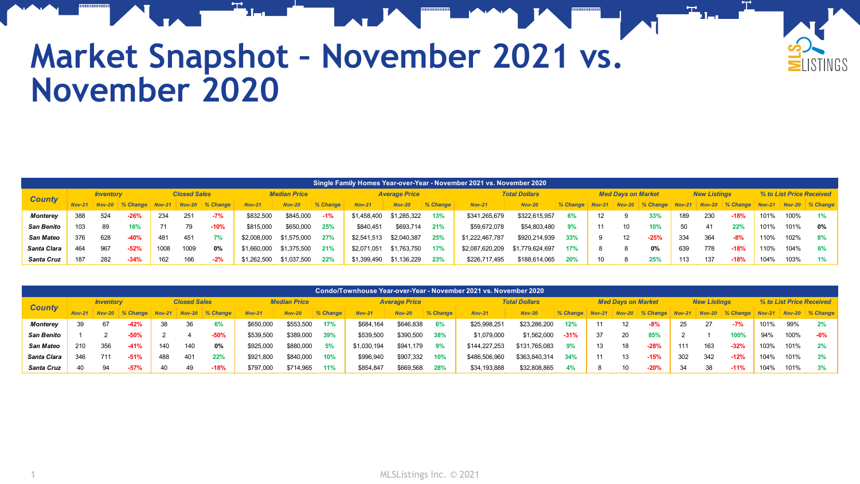

## **Market Snapshot – November 2021 vs. November 2020**

|                   | Single Family Homes Year-over-Year - November 2021 vs. November 2020 |                  |             |                     |                      |             |                     |               |          |                      |               |          |                      |                 |          |                   |                           |                   |                      |                     |             |                          |      |                        |
|-------------------|----------------------------------------------------------------------|------------------|-------------|---------------------|----------------------|-------------|---------------------|---------------|----------|----------------------|---------------|----------|----------------------|-----------------|----------|-------------------|---------------------------|-------------------|----------------------|---------------------|-------------|--------------------------|------|------------------------|
| <b>County</b>     |                                                                      | <b>Inventory</b> |             | <b>Closed Sales</b> |                      |             | <b>Median Price</b> |               |          | <b>Average Price</b> |               |          | <b>Total Dollars</b> |                 |          |                   | <b>Med Davs on Market</b> |                   |                      | <b>New Listings</b> |             | % to List Price Received |      |                        |
|                   |                                                                      | $Nov-20$         | $\%$ Change |                     | <b>Nov-21 Nov-20</b> | $\%$ Change | $Nov-2$             | <b>Nov-20</b> | % Change | <b>Nov-21</b>        | <b>Nov-20</b> | % Change | $Nov-21$             | <b>Nov-20</b>   | % Change | $Nov-21$          |                           | $Nov-20$ % Change | <b>Nov-21 Nov-20</b> |                     | $\%$ Change |                          |      | Nov-21 Nov-20 % Change |
| Monterey          | 388                                                                  | 524              | $-26%$      | 234                 | 251                  | $-7%$       | \$832,500           | \$845,000     | $-1%$    | \$1,458,400          | \$1,285,322   | 13%      | \$341,265,679        | \$322,615,957   | 6%       | $12 \overline{ }$ |                           | 33%               | 189                  | 230                 | $-18%$      | 101%                     | 100% |                        |
| <b>San Benito</b> | 103                                                                  | 89               | 16%         |                     | 79                   | $-10%$      | \$815,000           | \$650,000     | 25%      | \$840,451            | \$693,714     | 21%      | \$59,672,078         | \$54,803,480    |          | 11                | 10                        | 10%               | 50                   | 41                  | 22%         | 101%                     | 101% | 0%                     |
| San Mateo         | 376                                                                  | 628              | $-40%$      | 481                 | 451                  | 7%          | \$2,008,000         | \$1,575,000   | 27%      | \$2,541,513          | \$2,040,387   | 25%      | \$1,222,467,787      | \$920,214,939   | 33%      |                   | 12                        | $-25%$            | 334                  | 364                 | $-8%$       | 110%                     | 102% | 8%                     |
| Santa Clara       | 464                                                                  | 967              | $-52%$      | 1008                | 1009                 | $0\%$       | \$1,660,000         | \$1,375,500   | 21%      | \$2,071,051          | \$1,763,750   | 17%      | \$2,087,620,209      | \$1,779,624,697 | 17%      |                   |                           | 0%                | 639                  | 778                 | $-18%$      | 110%                     | 104% | 6%                     |
| Santa Cruz        | 187                                                                  | 282              | $-34%$      | 162                 | 166                  | $-2%$       | \$1,262,500         | \$1,037,500   | 22%      | \$1,399,490          | \$1,136,229   | 23%      | \$226,717,495        | \$188,614,065   | 20%      | 10                |                           | <b>25%</b>        | 113                  | 137                 | $-18%$      | 104%                     | 103% |                        |

| Condo/Townhouse Year-over-Year - November 2021 vs. November 2020 |                  |               |             |                     |     |                 |                     |           |          |             |                      |          |               |                      |          |          |                           |             |          |                     |            |                          |      |                        |
|------------------------------------------------------------------|------------------|---------------|-------------|---------------------|-----|-----------------|---------------------|-----------|----------|-------------|----------------------|----------|---------------|----------------------|----------|----------|---------------------------|-------------|----------|---------------------|------------|--------------------------|------|------------------------|
| <b>County</b>                                                    | <b>Inventory</b> |               |             | <b>Closed Sales</b> |     |                 | <b>Median Price</b> |           |          |             | <b>Average Price</b> |          |               | <b>Total Dollars</b> |          |          | <b>Med Davs on Market</b> |             |          | <b>New Listings</b> |            | % to List Price Received |      |                        |
|                                                                  |                  | <b>Nov-20</b> | $\%$ Change | $Nov-21$            |     | Nov-20 % Change | $Nov-21$            | $Nov-20$  | % Change | $Nov-21$    | <b>Nov-20</b>        | % Change | $Nov-21$      | <b>Nov-20</b>        | % Change | $Nov-21$ | $Nov-20$                  | $\%$ Change | $Nov-21$ | $Nov-20$            | $%$ Change |                          |      | Nov-21 Nov-20 % Change |
| <b>Monterey</b>                                                  | 39               | 67            | $-42%$      | 38                  | 36  | 6%              | \$650.000           | \$553,500 | 17%      | \$684.164   | \$646,838            | 6%       | \$25,998,25   | \$23,286,200         | 12%      | 11       | 12                        | $-8%$       |          |                     | $-7%$      | 101%                     | 99%  | 2%                     |
| San Benito                                                       |                  |               | $-50%$      |                     |     | $-50%$          | \$539,500           | \$389,000 | 39%      | \$539,500   | \$390,500            | 38%      | \$1,079,000   | \$1,562,000          | $-31%$   | 37       | 20                        | 85%         |          |                     | 100%       | 94%                      | 100% | -6%                    |
| <b>San Mateo</b>                                                 | 210              | 356           | $-41%$      | 140                 | 140 | 0%              | \$925,000           | \$880,000 | 5%       | \$1,030,194 | \$941,179            | 9%       | \$144,227,253 | \$131,765,083        | 9%       | 13       | 18                        | $-28%$      | 111      | 163                 | $-32%$     | 103%                     | 101% |                        |
| Santa Clara                                                      | 346              | 711           | $-51%$      | 488                 | 401 | 22%             | \$921,800           | \$840,000 | 10%      | \$996.940   | \$907.332            | 10%      | \$486,506,960 | \$363,840,314        | 34%      | 11       | 13                        | $-15%$      | 302      | 342                 | $-12%$     | 104%                     | 101% | 3%                     |
| Santa Cruz                                                       | 40               | 94            | -57%        | 40                  | 49  | $-18%$          | \$797,000           | \$714,965 | 11%      | \$854,847   | \$669,568            | 28%      | \$34,193,888  | \$32,808,865         | 4%       | 8        | 10                        | $-20%$      | -34      | 38                  | $-11%$     | 104%                     | 101% | 3%                     |